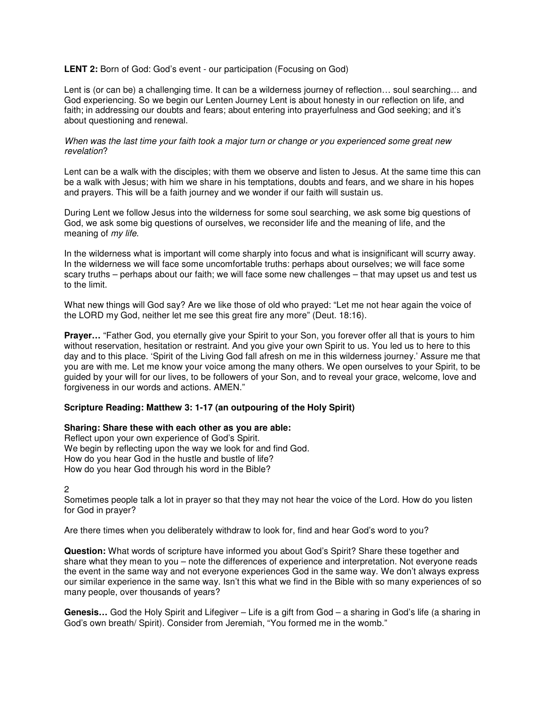## **LENT 2:** Born of God: God's event - our participation (Focusing on God)

Lent is (or can be) a challenging time. It can be a wilderness journey of reflection… soul searching… and God experiencing. So we begin our Lenten Journey Lent is about honesty in our reflection on life, and faith; in addressing our doubts and fears; about entering into prayerfulness and God seeking; and it's about questioning and renewal.

## When was the last time your faith took a major turn or change or you experienced some great new revelation?

Lent can be a walk with the disciples; with them we observe and listen to Jesus. At the same time this can be a walk with Jesus; with him we share in his temptations, doubts and fears, and we share in his hopes and prayers. This will be a faith journey and we wonder if our faith will sustain us.

During Lent we follow Jesus into the wilderness for some soul searching, we ask some big questions of God, we ask some big questions of ourselves, we reconsider life and the meaning of life, and the meaning of *my life*.

In the wilderness what is important will come sharply into focus and what is insignificant will scurry away. In the wilderness we will face some uncomfortable truths: perhaps about ourselves; we will face some scary truths – perhaps about our faith; we will face some new challenges – that may upset us and test us to the limit.

What new things will God say? Are we like those of old who prayed: "Let me not hear again the voice of the LORD my God, neither let me see this great fire any more" (Deut. 18:16).

**Prayer…** "Father God, you eternally give your Spirit to your Son, you forever offer all that is yours to him without reservation, hesitation or restraint. And you give your own Spirit to us. You led us to here to this day and to this place. 'Spirit of the Living God fall afresh on me in this wilderness journey.' Assure me that you are with me. Let me know your voice among the many others. We open ourselves to your Spirit, to be guided by your will for our lives, to be followers of your Son, and to reveal your grace, welcome, love and forgiveness in our words and actions. AMEN."

## **Scripture Reading: Matthew 3: 1-17 (an outpouring of the Holy Spirit)**

## **Sharing: Share these with each other as you are able:**

Reflect upon your own experience of God's Spirit. We begin by reflecting upon the way we look for and find God. How do you hear God in the hustle and bustle of life? How do you hear God through his word in the Bible?

2

Sometimes people talk a lot in prayer so that they may not hear the voice of the Lord. How do you listen for God in prayer?

Are there times when you deliberately withdraw to look for, find and hear God's word to you?

**Question:** What words of scripture have informed you about God's Spirit? Share these together and share what they mean to you – note the differences of experience and interpretation. Not everyone reads the event in the same way and not everyone experiences God in the same way. We don't always express our similar experience in the same way. Isn't this what we find in the Bible with so many experiences of so many people, over thousands of years?

**Genesis…** God the Holy Spirit and Lifegiver – Life is a gift from God – a sharing in God's life (a sharing in God's own breath/ Spirit). Consider from Jeremiah, "You formed me in the womb."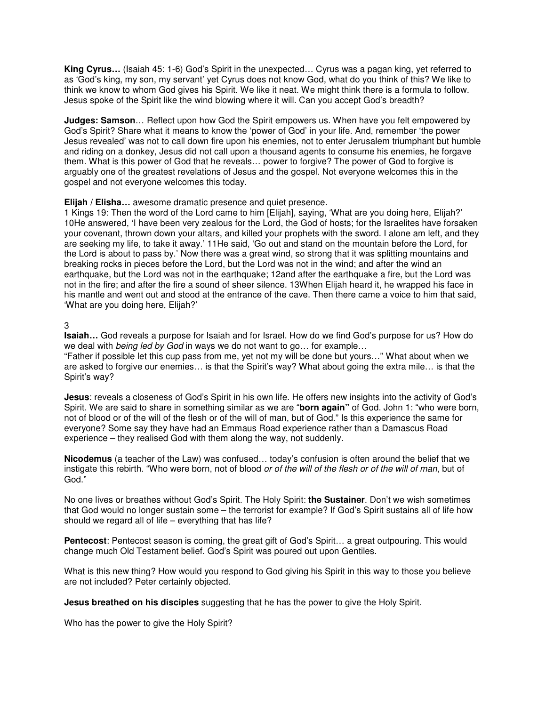**King Cyrus…** (Isaiah 45: 1-6) God's Spirit in the unexpected… Cyrus was a pagan king, yet referred to as 'God's king, my son, my servant' yet Cyrus does not know God, what do you think of this? We like to think we know to whom God gives his Spirit. We like it neat. We might think there is a formula to follow. Jesus spoke of the Spirit like the wind blowing where it will. Can you accept God's breadth?

**Judges: Samson**… Reflect upon how God the Spirit empowers us. When have you felt empowered by God's Spirit? Share what it means to know the 'power of God' in your life. And, remember 'the power Jesus revealed' was not to call down fire upon his enemies, not to enter Jerusalem triumphant but humble and riding on a donkey, Jesus did not call upon a thousand agents to consume his enemies, he forgave them. What is this power of God that he reveals… power to forgive? The power of God to forgive is arguably one of the greatest revelations of Jesus and the gospel. Not everyone welcomes this in the gospel and not everyone welcomes this today.

**Elijah / Elisha…** awesome dramatic presence and quiet presence.

1 Kings 19: Then the word of the Lord came to him [Elijah], saying, 'What are you doing here, Elijah?' 10He answered, 'I have been very zealous for the Lord, the God of hosts; for the Israelites have forsaken your covenant, thrown down your altars, and killed your prophets with the sword. I alone am left, and they are seeking my life, to take it away.' 11He said, 'Go out and stand on the mountain before the Lord, for the Lord is about to pass by.' Now there was a great wind, so strong that it was splitting mountains and breaking rocks in pieces before the Lord, but the Lord was not in the wind; and after the wind an earthquake, but the Lord was not in the earthquake; 12and after the earthquake a fire, but the Lord was not in the fire; and after the fire a sound of sheer silence. 13When Elijah heard it, he wrapped his face in his mantle and went out and stood at the entrance of the cave. Then there came a voice to him that said, 'What are you doing here, Elijah?'

3

**Isaiah…** God reveals a purpose for Isaiah and for Israel. How do we find God's purpose for us? How do we deal with *being led by God* in ways we do not want to go... for example...

"Father if possible let this cup pass from me, yet not my will be done but yours…" What about when we are asked to forgive our enemies… is that the Spirit's way? What about going the extra mile… is that the Spirit's way?

**Jesus**: reveals a closeness of God's Spirit in his own life. He offers new insights into the activity of God's Spirit. We are said to share in something similar as we are "**born again"** of God. John 1: "who were born, not of blood or of the will of the flesh or of the will of man, but of God." Is this experience the same for everyone? Some say they have had an Emmaus Road experience rather than a Damascus Road experience – they realised God with them along the way, not suddenly.

**Nicodemus** (a teacher of the Law) was confused… today's confusion is often around the belief that we instigate this rebirth. "Who were born, not of blood or of the will of the flesh or of the will of man, but of God."

No one lives or breathes without God's Spirit. The Holy Spirit: **the Sustainer**. Don't we wish sometimes that God would no longer sustain some – the terrorist for example? If God's Spirit sustains all of life how should we regard all of life – everything that has life?

**Pentecost**: Pentecost season is coming, the great gift of God's Spirit… a great outpouring. This would change much Old Testament belief. God's Spirit was poured out upon Gentiles.

What is this new thing? How would you respond to God giving his Spirit in this way to those you believe are not included? Peter certainly objected.

**Jesus breathed on his disciples** suggesting that he has the power to give the Holy Spirit.

Who has the power to give the Holy Spirit?